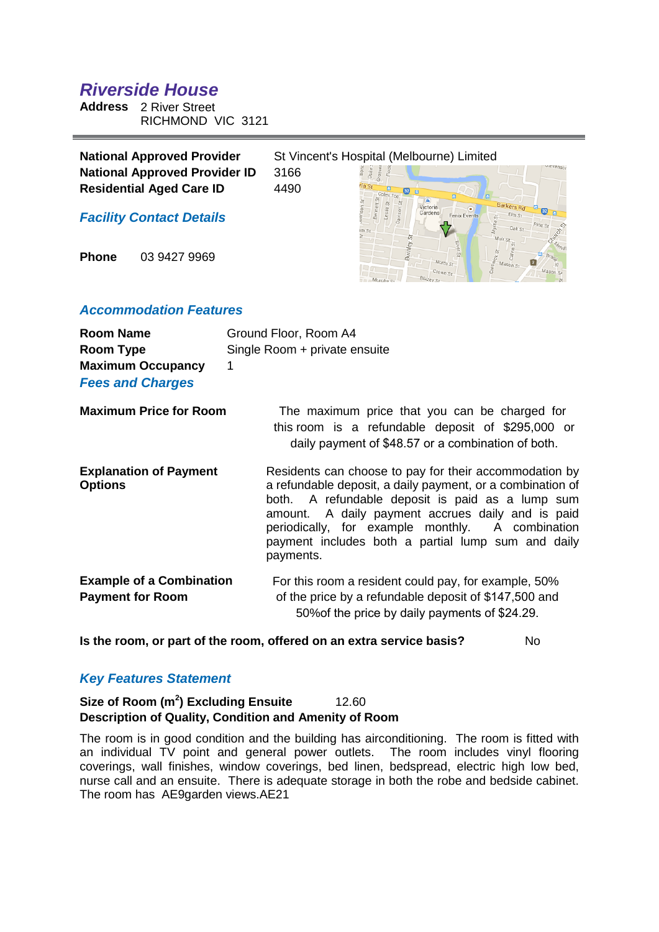# *Riverside House*

**Address** 2 River Street RICHMOND VIC 3121

| <b>National Approved Provider</b>    | St Vincent's Hospital (Melbourne) Limited |          |                     |  |
|--------------------------------------|-------------------------------------------|----------|---------------------|--|
| <b>National Approved Provider ID</b> | 3166                                      |          |                     |  |
| <b>Residential Aged Care ID</b>      | 4490                                      |          |                     |  |
| <b>Facility Contact Details</b>      |                                           | Victoria | <b>Fenix Events</b> |  |

**Phone** 03 9427 9969

## *Accommodation Features*

| <b>Room Name</b><br>Room Type<br><b>Maximum Occupancy</b><br><b>Fees and Charges</b> | Ground Floor, Room A4<br>Single Room + private ensuite<br>1                                                                                                                                                                                                                                                                                          |
|--------------------------------------------------------------------------------------|------------------------------------------------------------------------------------------------------------------------------------------------------------------------------------------------------------------------------------------------------------------------------------------------------------------------------------------------------|
| <b>Maximum Price for Room</b>                                                        | The maximum price that you can be charged for<br>this room is a refundable deposit of \$295,000 or<br>daily payment of \$48.57 or a combination of both.                                                                                                                                                                                             |
| <b>Explanation of Payment</b><br><b>Options</b>                                      | Residents can choose to pay for their accommodation by<br>a refundable deposit, a daily payment, or a combination of<br>both. A refundable deposit is paid as a lump sum<br>amount. A daily payment accrues daily and is paid<br>periodically, for example monthly. A combination<br>payment includes both a partial lump sum and daily<br>payments. |
| <b>Example of a Combination</b><br><b>Payment for Room</b>                           | For this room a resident could pay, for example, 50%<br>of the price by a refundable deposit of \$147,500 and<br>50% of the price by daily payments of \$24.29.                                                                                                                                                                                      |

**Is the room, or part of the room, offered on an extra service basis?** No

# *Key Features Statement*

# **Size of Room (m<sup>2</sup> ) Excluding Ensuite** 12.60 **Description of Quality, Condition and Amenity of Room**

The room is in good condition and the building has airconditioning. The room is fitted with an individual TV point and general power outlets. The room includes vinyl flooring coverings, wall finishes, window coverings, bed linen, bedspread, electric high low bed, nurse call and an ensuite. There is adequate storage in both the robe and bedside cabinet. The room has AE9garden views.AE21